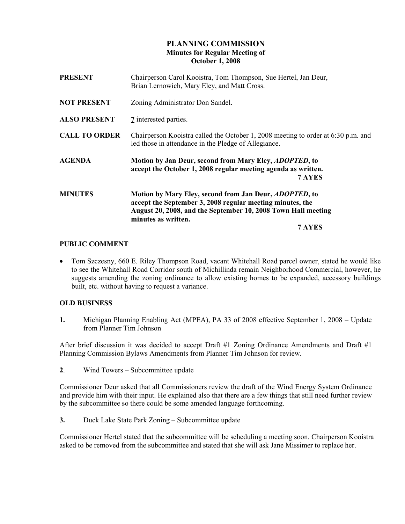# PLANNING COMMISSION Minutes for Regular Meeting of October 1, 2008

| <b>PRESENT</b>       | Chairperson Carol Kooistra, Tom Thompson, Sue Hertel, Jan Deur,<br>Brian Lernowich, Mary Eley, and Matt Cross.                                                                                                                |
|----------------------|-------------------------------------------------------------------------------------------------------------------------------------------------------------------------------------------------------------------------------|
| <b>NOT PRESENT</b>   | Zoning Administrator Don Sandel.                                                                                                                                                                                              |
| <b>ALSO PRESENT</b>  | 7 interested parties.                                                                                                                                                                                                         |
| <b>CALL TO ORDER</b> | Chairperson Kooistra called the October 1, 2008 meeting to order at 6:30 p.m. and<br>led those in attendance in the Pledge of Allegiance.                                                                                     |
| <b>AGENDA</b>        | Motion by Jan Deur, second from Mary Eley, <i>ADOPTED</i> , to<br>accept the October 1, 2008 regular meeting agenda as written.<br>7 AYES                                                                                     |
| <b>MINUTES</b>       | Motion by Mary Eley, second from Jan Deur, <i>ADOPTED</i> , to<br>accept the September 3, 2008 regular meeting minutes, the<br>August 20, 2008, and the September 10, 2008 Town Hall meeting<br>minutes as written.<br>7 AYES |
|                      |                                                                                                                                                                                                                               |

## PUBLIC COMMENT

• Tom Szczesny, 660 E. Riley Thompson Road, vacant Whitehall Road parcel owner, stated he would like to see the Whitehall Road Corridor south of Michillinda remain Neighborhood Commercial, however, he suggests amending the zoning ordinance to allow existing homes to be expanded, accessory buildings built, etc. without having to request a variance.

### OLD BUSINESS

1. Michigan Planning Enabling Act (MPEA), PA 33 of 2008 effective September 1, 2008 – Update from Planner Tim Johnson

After brief discussion it was decided to accept Draft #1 Zoning Ordinance Amendments and Draft #1 Planning Commission Bylaws Amendments from Planner Tim Johnson for review.

2. Wind Towers – Subcommittee update

Commissioner Deur asked that all Commissioners review the draft of the Wind Energy System Ordinance and provide him with their input. He explained also that there are a few things that still need further review by the subcommittee so there could be some amended language forthcoming.

3. Duck Lake State Park Zoning – Subcommittee update

Commissioner Hertel stated that the subcommittee will be scheduling a meeting soon. Chairperson Kooistra asked to be removed from the subcommittee and stated that she will ask Jane Missimer to replace her.